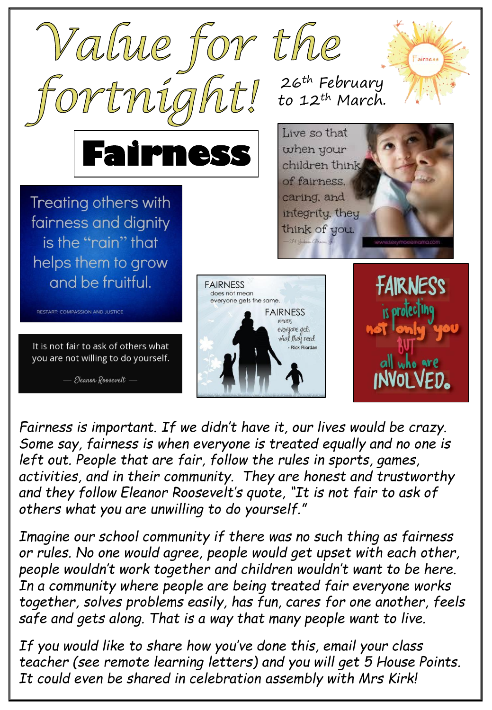

*Fairness is important. If we didn't have it, our lives would be crazy. Some say, fairness is when everyone is treated equally and no one is left out. People that are fair, follow the rules in sports, games, activities, and in their community. They are honest and trustworthy and they follow Eleanor Roosevelt's quote, "It is not fair to ask of others what you are unwilling to do yourself."* 

*Imagine our school community if there was no such thing as fairness or rules. No one would agree, people would get upset with each other, people wouldn't work together and children wouldn't want to be here. In a community where people are being treated fair everyone works together, solves problems easily, has fun, cares for one another, feels safe and gets along. That is a way that many people want to live.* 

*If you would like to share how you've done this, email your class teacher (see remote learning letters) and you will get 5 House Points. It could even be shared in celebration assembly with Mrs Kirk!*